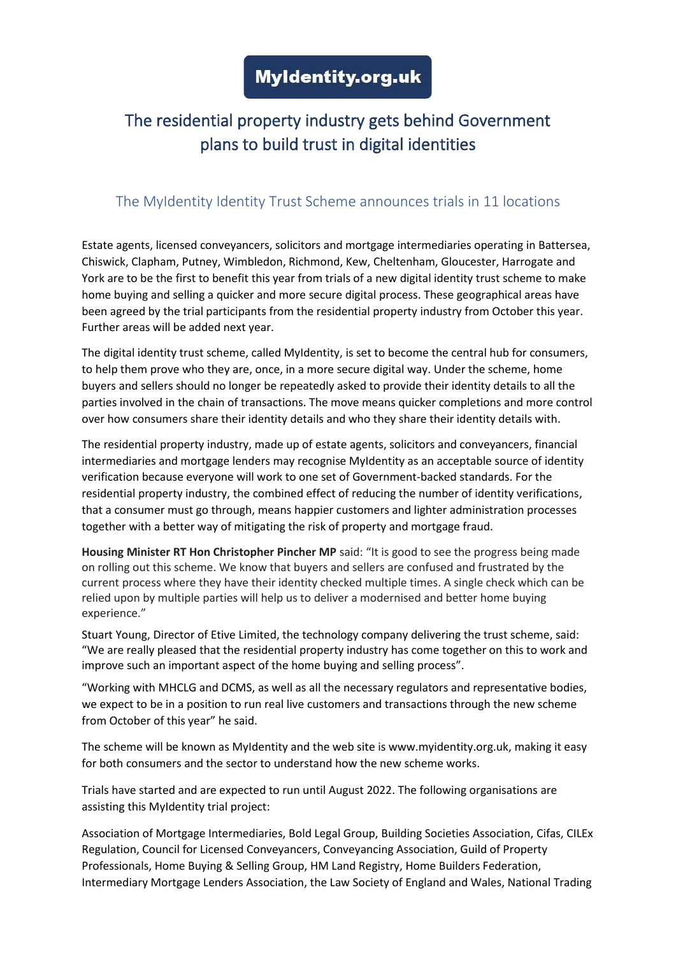## The residential property industry gets behind Government plans to build trust in digital identities

## The MyIdentity Identity Trust Scheme announces trials in 11 locations

Estate agents, licensed conveyancers, solicitors and mortgage intermediaries operating in Battersea, Chiswick, Clapham, Putney, Wimbledon, Richmond, Kew, Cheltenham, Gloucester, Harrogate and York are to be the first to benefit this year from trials of a new digital identity trust scheme to make home buying and selling a quicker and more secure digital process. These geographical areas have been agreed by the trial participants from the residential property industry from October this year. Further areas will be added next year.

The digital identity trust scheme, called MyIdentity, is set to become the central hub for consumers, to help them prove who they are, once, in a more secure digital way. Under the scheme, home buyers and sellers should no longer be repeatedly asked to provide their identity details to all the parties involved in the chain of transactions. The move means quicker completions and more control over how consumers share their identity details and who they share their identity details with.

The residential property industry, made up of estate agents, solicitors and conveyancers, financial intermediaries and mortgage lenders may recognise MyIdentity as an acceptable source of identity verification because everyone will work to one set of Government-backed standards. For the residential property industry, the combined effect of reducing the number of identity verifications, that a consumer must go through, means happier customers and lighter administration processes together with a better way of mitigating the risk of property and mortgage fraud.

**Housing Minister RT Hon Christopher Pincher MP** said: "It is good to see the progress being made on rolling out this scheme. We know that buyers and sellers are confused and frustrated by the current process where they have their identity checked multiple times. A single check which can be relied upon by multiple parties will help us to deliver a modernised and better home buying experience."

Stuart Young, Director of Etive Limited, the technology company delivering the trust scheme, said: "We are really pleased that the residential property industry has come together on this to work and improve such an important aspect of the home buying and selling process".

"Working with MHCLG and DCMS, as well as all the necessary regulators and representative bodies, we expect to be in a position to run real live customers and transactions through the new scheme from October of this year" he said.

The scheme will be known as MyIdentity and the web site is www.myidentity.org.uk, making it easy for both consumers and the sector to understand how the new scheme works.

Trials have started and are expected to run until August 2022. The following organisations are assisting this MyIdentity trial project:

Association of Mortgage Intermediaries, Bold Legal Group, Building Societies Association, Cifas, CILEx Regulation, Council for Licensed Conveyancers, Conveyancing Association, Guild of Property Professionals, Home Buying & Selling Group, HM Land Registry, Home Builders Federation, Intermediary Mortgage Lenders Association, the Law Society of England and Wales, National Trading